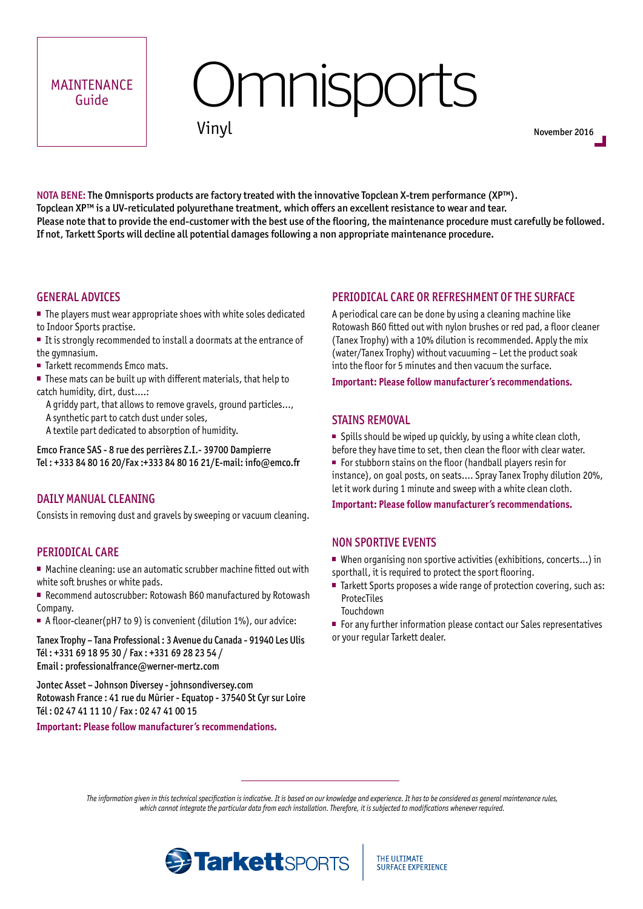#### MAINTENANCE Guide

# **Omnisports**

```
Vinyl
```
November 2016

NOTA BENE: The Omnisports products are factory treated with the innovative Topclean X-trem performance (XP™). Topclean XP™ is a UV-reticulated polyurethane treatment, which offers an excellent resistance to wear and tear. Please note that to provide the end-customer with the best use of the flooring, the maintenance procedure must carefully be followed. If not, Tarkett Sports will decline all potential damages following a non appropriate maintenance procedure.

#### GENERAL ADVICES

■ The players must wear appropriate shoes with white soles dedicated to Indoor Sports practise.

- $\blacksquare$  It is strongly recommended to install a doormats at the entrance of the gymnasium.
- Tarkett recommends Emco mats.
- These mats can be built up with different materials, that help to catch humidity, dirt, dust….:
	- A griddy part, that allows to remove gravels, ground particles…,
	- A synthetic part to catch dust under soles,
	- A textile part dedicated to absorption of humidity.

Emco France SAS - 8 rue des perrières Z.I.- 39700 Dampierre Tel : +333 84 80 16 20/Fax :+333 84 80 16 21/E-mail: info@emco.f**r**

#### DAILY MANUAL CLEANING

Consists in removing dust and gravels by sweeping or vacuum cleaning.

#### PERIODICAL CARE

■ Machine cleaning: use an automatic scrubber machine fitted out with white soft brushes or white pads.

- Recommend autoscrubber: Rotowash B60 manufactured by Rotowash Company.
- A floor-cleaner(pH7 to 9) is convenient (dilution 1%), our advice:

Tanex Trophy – Tana Professional : 3 Avenue du Canada - 91940 Les Ulis Tél : +331 69 18 95 30 / Fax : +331 69 28 23 54 / Email : professionalfrance@werner-mertz.com

Jontec Asset – Johnson Diversey - johnsondiversey.com Rotowash France : 41 rue du Mûrier - Equatop - 37540 St Cyr sur Loire Tél : 02 47 41 11 10 / Fax : 02 47 41 00 15

#### **Important: Please follow manufacturer's recommendations.**

#### PERIODICAL CARE OR REFRESHMENT OF THE SURFACE

A periodical care can be done by using a cleaning machine like Rotowash B60 fitted out with nylon brushes or red pad, a floor cleaner (Tanex Trophy) with a 10% dilution is recommended. Apply the mix (water/Tanex Trophy) without vacuuming – Let the product soak into the floor for 5 minutes and then vacuum the surface.

**Important: Please follow manufacturer's recommendations.**

#### STAINS REMOVAL

 $\blacksquare$  Spills should be wiped up quickly, by using a white clean cloth,

- before they have time to set, then clean the floor with clear water.
- For stubborn stains on the floor (handball players resin for instance), on goal posts, on seats…. Spray Tanex Trophy dilution 20%, let it work during 1 minute and sweep with a white clean cloth.

**Important: Please follow manufacturer's recommendations.**

#### NON SPORTIVE EVENTS

- When organising non sportive activities (exhibitions, concerts...) in sporthall, it is required to protect the sport flooring.
- Tarkett Sports proposes a wide range of protection covering, such as: **ProtecTiles**

Touchdown

■ For any further information please contact our Sales representatives or your regular Tarkett dealer.

*The information given in this technical specification is indicative. It is based on our knowledge and experience. It has to be considered as general maintenance rules, which cannot integrate the particular data from each installation. Therefore, it is subjected to modifications whenever required.*